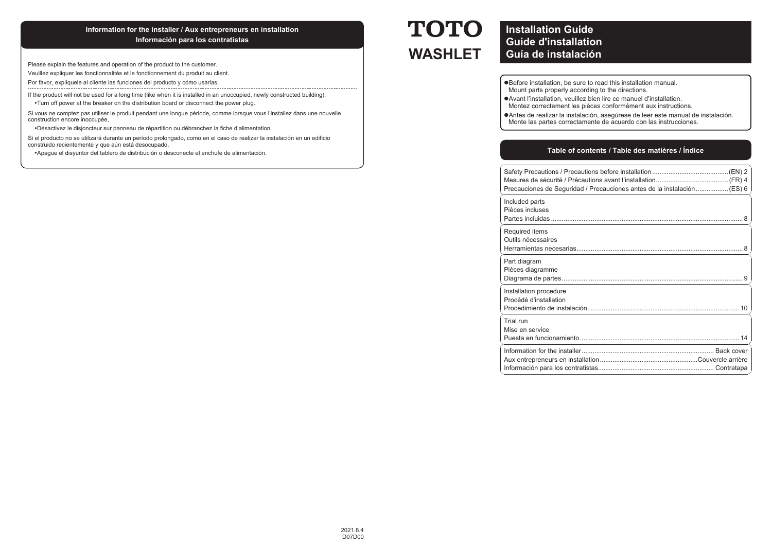### **Information for the installer / Aux entrepreneurs en installation Información para los contratistas**

Please explain the features and operation of the product to the customer.

Veuillez expliquer les fonctionnalités et le fonctionnement du produit au client.

Por favor, explíquele al cliente las funciones del producto y cómo usarlas. ---------------------------

If the product will not be used for a long time (like when it is installed in an unoccupied, newly constructed building), Turn off power at the breaker on the distribution board or disconnect the power plug.

Si vous ne comptez pas utiliser le produit pendant une longue période, comme lorsque vous l'installez dans une nouvelle construction encore inoccupée,

Désactivez le disjoncteur sur panneau de répartition ou débranchez la fiche d'alimentation.

Si el producto no se utilizará durante un período prolongado, como en el caso de realizar la instalación en un edificio construido recientemente y que aún está desocupado,

Apague el disyuntor del tablero de distribución o desconecte el enchufe de alimentación.

# **TOTO WASHLET**

### **Installation Guide Guide d'installationGuía de instalación**

<sup>l</sup>Before installation, be sure to read this installation manual.

Mount parts properly according to the directions.

<sup>l</sup>Avant l'installation, veuillez bien lire ce manuel d'installation.

Montez correctement les pièces conformément aux instructions.

<sup>l</sup>Antes de realizar la instalación, asegúrese de leer este manual de instalación. Monte las partes correctamente de acuerdo con las instrucciones.

#### **Table of contents / Table des matières / Índice**

| Precauciones de Seguridad / Precauciones antes de la instalación  (ES) 6 |
|--------------------------------------------------------------------------|
| Included parts<br>Pièces incluses                                        |
| Required items<br>Outils nécessaires                                     |
| Part diagram<br>Pièces diagramme                                         |
| Installation procedure<br>Procédé d'installation                         |
| Trial run<br>Mise en service                                             |
|                                                                          |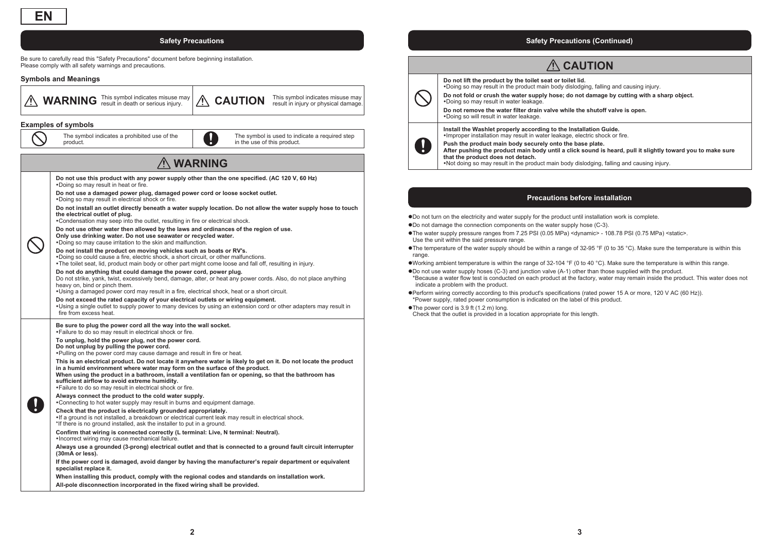Be sure to carefully read this "Safety Precautions" document before beginning installation. Please comply with all safety warnings and precautions.

#### **Symbols and Meanings**



**WARNING** This symbol indicates misuse may  $\hat{M}$ **CAUTION** This symbol indicates misuse may result in injury or physical damage.

#### **Examples of symbols**

The symbol indicates a prohibited use of the product.

The symbol is used to indicate a required step in the use of this product.

### **WARNING**

**Do not use this product with any power supply other than the one specified. (AC 120 V, 60 Hz)** Doing so may result in heat or fire. **Do not use a damaged power plug, damaged power cord or loose socket outlet.** Doing so may result in electrical shock or fire. **Do not install an outlet directly beneath a water supply location. Do not allow the water supply hose to touch the electrical outlet of plug.** Condensation may seep into the outlet, resulting in fire or electrical shock. **Do not use other water then allowed by the laws and ordinances of the region of use. Only use drinking water. Do not use seawater or recycled water.** Doing so may cause irritation to the skin and malfunction. **Do not install the product on moving vehicles such as boats or RV's.** Doing so could cause a fire, electric shock, a short circuit, or other malfunctions. The toilet seat, lid, product main body or other part might come loose and fall off, resulting in injury.

**Do not do anything that could damage the power cord, power plug.** Do not strike, yank, twist, excessively bend, damage, alter, or heat any power cords. Also, do not place anything heavy on, bind or pinch them.

Using a damaged power cord may result in a fire, electrical shock, heat or a short circuit.

**Do not exceed the rated capacity of your electrical outlets or wiring equipment.** Using a single outlet to supply power to many devices by using an extension cord or other adapters may result in fire from excess heat.

**Be sure to plug the power cord all the way into the wall socket.** Failure to do so may result in electrical shock or fire.

**To unplug, hold the power plug, not the power cord. Do not unplug by pulling the power cord.** Pulling on the power cord may cause damage and result in fire or heat.

**This is an electrical product. Do not locate it anywhere water is likely to get on it. Do not locate the product in a humid environment where water may form on the surface of the product. When using the product in a bathroom, install a ventilation fan or opening, so that the bathroom has sufficient airflow to avoid extreme humidity.** Failure to do so may result in electrical shock or fire.

**Always connect the product to the cold water supply.** Connecting to hot water supply may result in burns and equipment damage.

#### **Check that the product is electrically grounded appropriately.** If a ground is not installed, a breakdown or electrical current leak may result in electrical shock. \*If there is no ground installed, ask the installer to put in a ground.

**Confirm that wiring is connected correctly (L terminal: Live, N terminal: Neutral).** Incorrect wiring may cause mechanical failure.

**Always use a grounded (3-prong) electrical outlet and that is connected to a ground fault circuit interrupter (30mA or less).**

**If the power cord is damaged, avoid danger by having the manufacturer's repair department or equivalent specialist replace it.**

**When installing this product, comply with the regional codes and standards on installation work.**

**All-pole disconnection incorporated in the fixed wiring shall be provided.**

#### **Safety Precautions Safety Precautions (Continued)**



 **CAUTION**

**Do not lift the product by the toilet seat or toilet lid.** 

Doing so may result in the product main body dislodging, falling and causing injury.

**Do not fold or crush the water supply hose; do not damage by cutting with a sharp object.**  Doing so may result in water leakage.

**Do not remove the water filter drain valve while the shutoff valve is open.** Doing so will result in water leakage.

**Install the Washlet properly according to the Installation Guide.** Improper installation may result in water leakage, electric shock or fire.

**Push the product main body securely onto the base plate. After pushing the product main body until a click sound is heard, pull it slightly toward you to make sure that the product does not detach.** Not doing so may result in the product main body dislodging, falling and causing injury.

**Precautions before installation**

<sup>l</sup>Do not turn on the electricity and water supply for the product until installation work is complete.

- Do not damage the connection components on the water supply hose (C-3).
- The water supply pressure ranges from 7.25 PSI (0.05 MPa) <dynamic> 108.78 PSI (0.75 MPa) <static>. Use the unit within the said pressure range.

The temperature of the water supply should be within a range of 32-95 °F (0 to 35 °C). Make sure the temperature is within this range.

Working ambient temperature is within the range of  $32-104$  °F (0 to 40 °C). Make sure the temperature is within this range.

 $\bullet$  Do not use water supply hoses (C-3) and junction valve (A-1) other than those supplied with the product. \*Because a water flow test is conducted on each product at the factory, water may remain inside the product. This water does not indicate a problem with the product.

<sup>l</sup>Perform wiring correctly according to this product's specifications (rated power 15 A or more, 120 V AC (60 Hz)). \*Power supply, rated power consumption is indicated on the label of this product.

 $\bullet$ The power cord is 3.9 ft (1.2 m) long.

Check that the outlet is provided in a location appropriate for this length.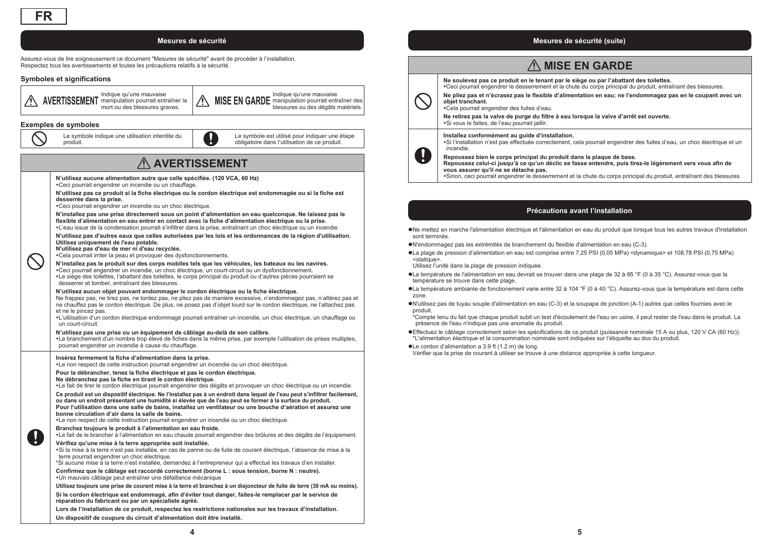#### **Mesures de sécurité**

Assurez-vous de lire soigneusement ce document "Mesures de sécurité" avant de procéder à l'installation. Respectez tous les avertissements et toutes les précautions relatifs à la sécurité.

#### **Symboles et significations**



#### **Exemples de symboles**

Le symbole indique une utilisation interdite du produit.



### **AVERTISSEMENT**

**N'utilisez aucune alimentation autre que celle spécifiée. (120 VCA, 60 Hz)**

Ceci pourrait engendrer un incendie ou un chauffage. **N'utilisez pas ce produit si la fiche électrique ou le cordon électrique est endommagée ou si la fiche est desserrée dans la prise.**

Ceci pourrait engendrer un incendie ou un choc électrique.

**N'installez pas une prise directement sous un point d'alimentation en eau quelconque. Ne laissez pas le flexible d'alimentation en eau entrer en contact avec la fiche d'alimentation électrique ou la prise.** L'eau issue de la condensation pourrait s'infiltrer dans la prise, entraînant un choc électrique ou un incendie.

**N'utilisez pas d'autres eaux que celles autorisées par les lois et les ordonnances de la région d'utilisation. Utilisez uniquement de l'eau potable. N'utilisez pas d'eau de mer ni d'eau recyclée.**

Cela pourrait irriter la peau et provoquer des dysfonctionnements.

#### **N'installez pas le produit sur des corps mobiles tels que les véhicules, les bateaux ou les navires.**

Ceci pourrait engendrer un incendie, un choc électrique, un court-circuit ou un dysfonctionnement. Le siège des toilettes, l'abattant des toilettes, le corps principal du produit ou d'autres pièces pourraient se desserrer et tomber, entraînant des blessures.

#### **N'utilisez aucun objet pouvant endommager le cordon électrique ou la fiche électrique.**

Ne frappez pas, ne tirez pas, ne tordez pas, ne pliez pas de manière excessive, n'endommagez pas, n'altérez pas et ne chauffez pas le cordon électrique. De plus, ne posez pas d'objet lourd sur le cordon électrique, ne l'attachez pas et ne le pincez pas.

L'utilisation d'un cordon électrique endommagé pourrait entraîner un incendie, un choc électrique, un chauffage ou un court-circuit.

#### **N'utilisez pas une prise ou un équipement de câblage au-delà de son calibre.**

Le branchement d'un nombre trop élevé de fiches dans la même prise, par exemple l'utilisation de prises multiples, pourrait engendrer un incendie à cause du chauffage.

**Insérez fermement la fiche d'alimentation dans la prise.** Le non respect de cette instruction pourrait engendrer un incendie ou un choc électrique.

#### **Pour la débrancher, tenez la fiche électrique et pas le cordon électrique.**

#### **Ne débranchez pas la fiche en tirant le cordon électrique.**

Le fait de tirer le cordon électrique pourrait engendrer des dégâts et provoquer un choc électrique ou un incendie.

**Ce produit est un dispositif électrique. Ne l'installez pas à un endroit dans lequel de l'eau peut s'infiltrer facilement, ou dans un endroit présentant une humidité si élevée que de l'eau peut se former à la surface du produit. Pour l'utilisation dans une salle de bains, installez un ventilateur ou une bouche d'aération et assurez une** 

**bonne circulation d'air dans la salle de bains.**

Le non respect de cette instruction pourrait engendrer un incendie ou un choc électrique.

#### **Branchez toujours le produit à l'alimentation en eau froide.**

Le fait de le brancher à l'alimentation en eau chaude pourrait engendrer des brûlures et des dégâts de l'équipement.

#### **Vérifiez qu'une mise à la terre appropriée soit installée.**

Si la mise à la terre n'est pas installée, en cas de panne ou de fuite de courant électrique, l'absence de mise à la

terre pourrait engendrer un choc électrique. \*Si aucune mise à la terre n'est installée, demandez à l'entrepreneur qui a effectué les travaux d'en installer.

**Confirmez que le câblage est raccordé correctement (borne L : sous tension, borne N : neutre).**

Un mauvais câblage peut entraîner une défaillance mécanique

**Utilisez toujours une prise de courant mise à la terre et branchez à un disjoncteur de fuite de terre (30 mA ou moins).**

**Si le cordon électrique est endommagé, afin d'éviter tout danger, faites-le remplacer par le service de réparation du fabricant ou par un spécialiste agréé.**

**Lors de l'installation de ce produit, respectez les restrictions nationales sur les travaux d'installation. Un dispositif de coupure du circuit d'alimentation doit être installé.**

#### **Mesures de sécurité (suite)**

### A MISE EN GARDE

**Ne soulevez pas ce produit en le tenant par le siège ou par l'abattant des toilettes.** Ceci pourrait engendrer le desserrement et la chute du corps principal du produit, entraînant des blessures.



**Repoussez bien le corps principal du produit dans la plaque de base. Repoussez celui-ci jusqu'à ce qu'un déclic se fasse entendre, puis tirez-le légèrement vers vous afin de vous assurer qu'il ne se détache pas.**

Sinon, ceci pourrait engendrer le desserrement et la chute du corps principal du produit, entraînant des blessures.

#### **Précautions avant l'installation**

<sup>l</sup>Ne mettez en marche l'alimentation électrique et l'alimentation en eau du produit que lorsque tous les autres travaux d'installation sont terminés.

<sup>l</sup>N'endommagez pas les extrémités de branchement du flexible d'alimentation en eau (C-3).

<sup>l</sup>La plage de pression d'alimentation en eau est comprise entre 7,25 PSI (0,05 MPa) <dynamique> et 108,78 PSI (0,75 MPa) <statique>.

Utilisez l'unité dans la plage de pression indiquée.

<sup>l</sup>La température de l'alimentation en eau devrait se trouver dans une plage de 32 à 95 °F (0 à 35 °C). Assurez-vous que la température se trouve dans cette plage.

<sup>l</sup>La température ambiante de fonctionement varie entre 32 à 104 °F (0 à 40 °C). Assurez-vous que la température est dans cette zone.

<sup>l</sup>N'utilisez pas de tuyau souple d'alimentation en eau (C-3) et la soupape de jonction (A-1) autres que celles fournies avec le produit.

\*Compte tenu du fait que chaque produit subit un test d'écoulement de l'eau en usine, il peut rester de l'eau dans le produit. La présence de l'eau n'indique pas une anomalie du produit.

<sup>l</sup>Effectuez le câblage correctement selon les spécifications de ce produit (puissance nominale 15 A ou plus, 120 V CA (60 Hz)). \*L'alimentation électrique et la consommation nominale sont indiquées sur l'étiquette au dos du produit.

●Le cordon d'alimentation a 3.9 ft (1.2 m) de long.

Vérifier que la prise de courant à utiliser se trouve à une distance appropriée à cette longueur.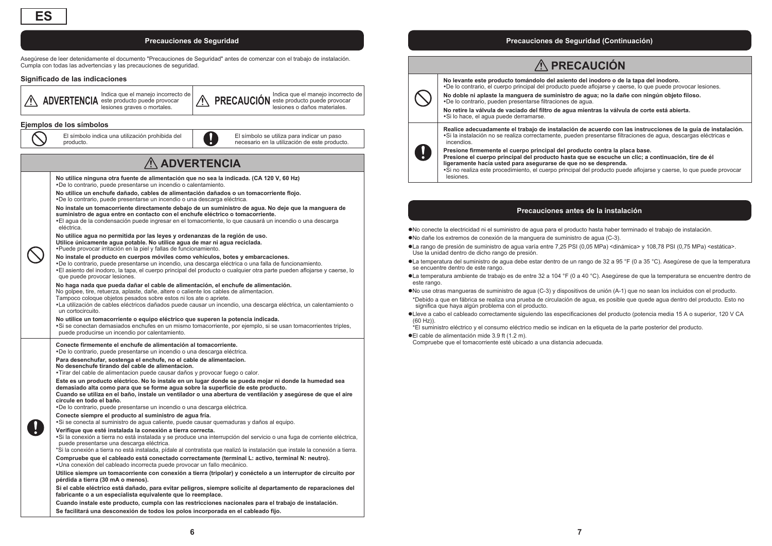Asegúrese de leer detenidamente el documento "Precauciones de Seguridad" antes de comenzar con el trabajo de instalación. Cumpla con todas las advertencias y las precauciones de seguridad.

#### **Significado de las indicaciones**



## **ADVERTENCIA**

**No utilice ninguna otra fuente de alimentación que no sea la indicada. (CA 120 V, 60 Hz)** De lo contrario, puede presentarse un incendio o calentamiento. **No utilice un enchufe dañado, cables de alimentación dañados o un tomacorriente flojo.** De lo contrario, puede presentarse un incendio o una descarga eléctrica. **No instale un tomacorriente directamente debajo de un suministro de agua. No deje que la manguera de suministro de agua entre en contacto con el enchufe eléctrico o tomacorriente.** El agua de la condensación puede ingresar en el tomacorriente, lo que causará un incendio o una descarga eléctrica.**No utilice agua no permitida por las leyes y ordenanzas de la región de uso. Utilice únicamente agua potable. No utilice agua de mar ni agua reciclada.** Puede provocar irritación en la piel y fallas de funcionamiento. **No instale el producto en cuerpos móviles como vehículos, botes y embarcaciones.** De lo contrario, puede presentarse un incendio, una descarga eléctrica o una falla de funcionamiento. El asiento del inodoro, la tapa, el cuerpo principal del producto o cualquier otra parte pueden aflojarse y caerse, lo que puede provocar lesiones. **No haga nada que pueda dañar el cable de alimentación, el enchufe de alimentación.** No golpee, tire, retuerza, aplaste, dañe, altere o caliente los cables de alimentacion. Tampoco coloque objetos pesados sobre estos ni los ate o apriete. La utilización de cables eléctricos dañados puede causar un incendio, una descarga eléctrica, un calentamiento o un cortocircuito.**No utilice un tomacorriente o equipo eléctrico que superen la potencia indicada.** Si se conectan demasiados enchufes en un mismo tomacorriente, por ejemplo, si se usan tomacorrientes triples, puede producirse un incendio por calentamiento.

**Conecte firmemente el enchufe de alimentación al tomacorriente.** De lo contrario, puede presentarse un incendio o una descarga eléctrica.

**Para desenchufar, sostenga el enchufe, no el cable de alimentacion. No desenchufe tirando del cable de alimentacion.**

Tirar del cable de alimentacion puede causar daños y provocar fuego o calor.

**Este es un producto eléctrico. No lo instale en un lugar donde se pueda mojar ni donde la humedad sea demasiado alta como para que se forme agua sobre la superficie de este producto.**

**Cuando se utiliza en el baño, instale un ventilador o una abertura de ventilación y asegúrese de que el aire circule en todo el baño.**

De lo contrario, puede presentarse un incendio o una descarga eléctrica.

#### **Conecte siempre el producto al suministro de agua fría.**

Si se conecta al suministro de agua caliente, puede causar quemaduras y daños al equipo.

#### **Verifique que esté instalada la conexión a tierra correcta.**

Si la conexión a tierra no está instalada y se produce una interrupción del servicio o una fuga de corriente eléctrica, puede presentarse una descarga eléctrica.

\*Si la conexión a tierra no está instalada, pídale al contratista que realizó la instalación que instale la conexión a tierra. **Compruebe que el cableado está conectado correctamente (terminal L: activo, terminal N: neutro).**

Una conexión del cableado incorrecta puede provocar un fallo mecánico.

**Utilice siempre un tomacorriente con conexión a tierra (tripolar) y conéctelo a un interruptor de circuito por pérdida a tierra (30 mA o menos).**

**Si el cable eléctrico está dañado, para evitar peligros, siempre solicite al departamento de reparaciones del fabricante o a un especialista equivalente que lo reemplace.**

**Cuando instale este producto, cumpla con las restricciones nacionales para el trabajo de instalación. Se facilitará una desconexión de todos los polos incorporada en el cableado fijo.**

#### **Precauciones de Seguridad Precauciones de Seguridad (Continuación)**

### **PRECAUCIÓN**

**No levante este producto tomándolo del asiento del inodoro o de la tapa del inodoro.** 

De lo contrario, el cuerpo principal del producto puede aflojarse y caerse, lo que puede provocar lesiones. **No doble ni aplaste la manguera de suministro de agua; no la dañe con ningún objeto filoso.**

De lo contrario, pueden presentarse filtraciones de agua.

**No retire la válvula de vaciado del filtro de agua mientras la válvula de corte está abierta.** Si lo hace, el agua puede derramarse.

**Realice adecuadamente el trabajo de instalación de acuerdo con las instrucciones de la guía de instalación.** Si la instalación no se realiza correctamente, pueden presentarse filtraciones de agua, descargas eléctricas e incendios.



**Presione firmemente el cuerpo principal del producto contra la placa base. Presione el cuerpo principal del producto hasta que se escuche un clic; a continuación, tire de él ligeramente hacia usted para asegurarse de que no se desprenda.**

Si no realiza este procedimiento, el cuerpo principal del producto puede aflojarse y caerse, lo que puede provocar lesiones.

#### **Precauciones antes de la instalación**

<sup>l</sup>No conecte la electricidad ni el suministro de agua para el producto hasta haber terminado el trabajo de instalación.

- <sup>l</sup>No dañe los extremos de conexión de la manguera de suministro de agua (C-3).
- <sup>l</sup>La rango de presión de suministro de agua varía entre 7,25 PSI (0,05 MPa) <dinámica> y 108,78 PSI (0,75 MPa) <estática>. Use la unidad dentro de dicho rango de presión.
- <sup>l</sup>La temperatura del suministro de agua debe estar dentro de un rango de 32 a 95 °F (0 a 35 °C). Asegúrese de que la temperatura se encuentre dentro de este rango.
- <sup>l</sup>La temperatura ambiente de trabajo es de entre 32 a 104 °F (0 a 40 °C). Asegúrese de que la temperatura se encuentre dentro de este rango
- <sup>l</sup>No use otras mangueras de suministro de agua (C-3) y dispositivos de unión (A-1) que no sean los incluidos con el producto.
- \*Debido a que en fábrica se realiza una prueba de circulación de agua, es posible que quede agua dentro del producto. Esto no significa que haya algún problema con el producto.
- <sup>l</sup>Lleve a cabo el cableado correctamente siguiendo las especificaciones del producto (potencia media 15 A o superior, 120 V CA (60 Hz)).

\*El suministro eléctrico y el consumo eléctrico medio se indican en la etiqueta de la parte posterior del producto.

#### ● El cable de alimentación mide 3.9 ft (1.2 m).

Compruebe que el tomacorriente esté ubicado a una distancia adecuada.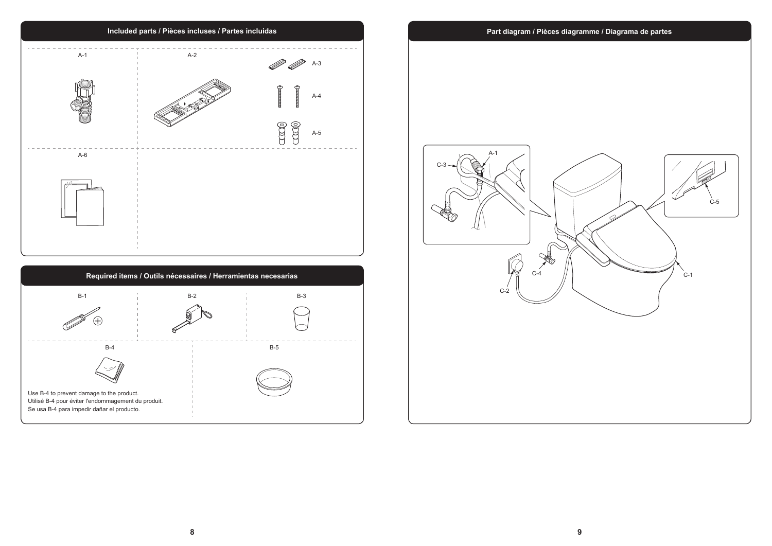

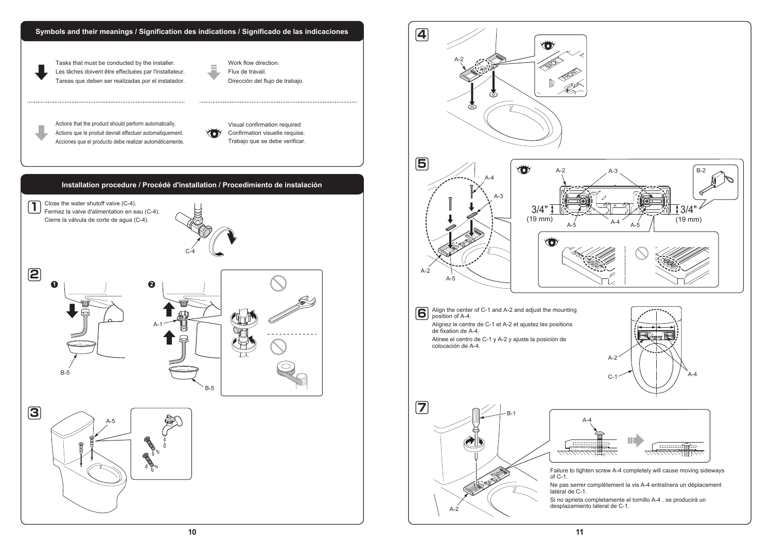

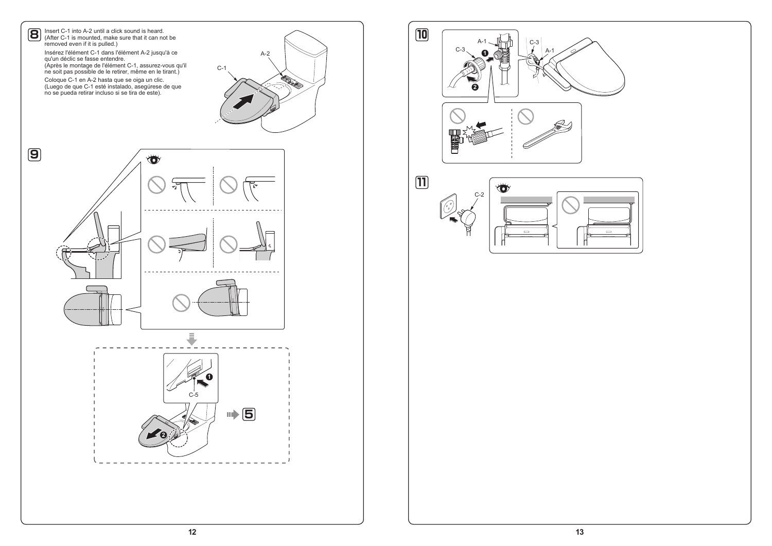